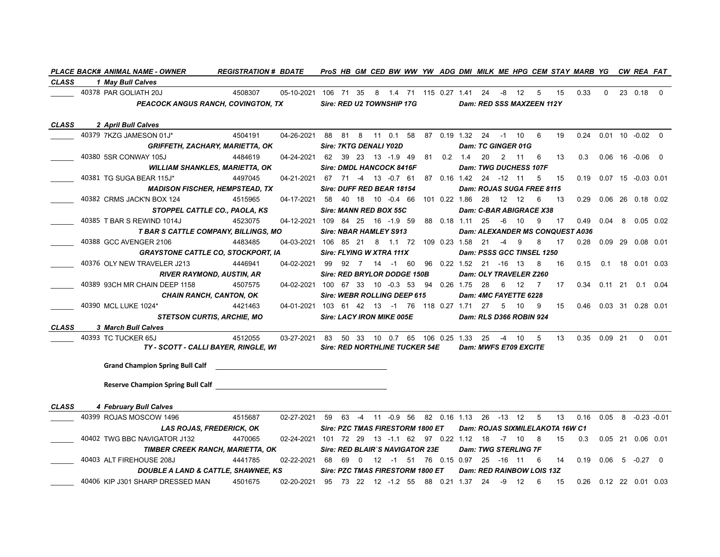|              | <b>PLACE BACK# ANIMAL NAME - OWNER</b>         | <b>REGISTRATION # BDATE</b>                              |                                                        |                                       |    |          | ProS HB GM CED BW WW YW ADG DMI MILK ME HPG CEM STAY MARB YG CW REA FAT |  |  |                             |                       |                             |                                  |                                 |                                        |                             |                       |                          |
|--------------|------------------------------------------------|----------------------------------------------------------|--------------------------------------------------------|---------------------------------------|----|----------|-------------------------------------------------------------------------|--|--|-----------------------------|-----------------------|-----------------------------|----------------------------------|---------------------------------|----------------------------------------|-----------------------------|-----------------------|--------------------------|
| <b>CLASS</b> | 1 May Bull Calves                              |                                                          |                                                        |                                       |    |          |                                                                         |  |  |                             |                       |                             |                                  |                                 |                                        |                             |                       |                          |
|              | 40378 PAR GOLIATH 20J                          | 4508307                                                  | 05-10-2021 106 71 35 8 1.4 71 115 0.27 1.41 24 -8 12 5 |                                       |    |          |                                                                         |  |  |                             |                       |                             |                                  | 15                              | 0.33                                   | $\Omega$                    | 23 0.18 0             |                          |
|              | <b>PEACOCK ANGUS RANCH, COVINGTON, TX</b>      |                                                          |                                                        |                                       |    |          | Sire: RED U2 TOWNSHIP 17G                                               |  |  |                             |                       |                             | Dam: RED SSS MAXZEEN 112Y        |                                 |                                        |                             |                       |                          |
|              |                                                |                                                          |                                                        |                                       |    |          |                                                                         |  |  |                             |                       |                             |                                  |                                 |                                        |                             |                       |                          |
| <b>CLASS</b> | 2 April Bull Calves                            |                                                          |                                                        |                                       |    |          |                                                                         |  |  |                             |                       |                             |                                  |                                 |                                        |                             |                       |                          |
|              | 40379 7KZG JAMESON 01J*                        | 4504191                                                  | 04-26-2021                                             |                                       |    |          | 88 81 8 11 0.1 58 87 0.19 1.32 24 -1 10                                 |  |  |                             |                       |                             | 6                                | 19                              | 0.24                                   | $0.01$ 10 $-0.02$ 0         |                       |                          |
|              |                                                | <b>GRIFFETH, ZACHARY, MARIETTA, OK</b>                   |                                                        |                                       |    |          | <b>Sire: 7KTG DENALI Y02D</b>                                           |  |  |                             |                       | <b>Dam: TC GINGER 01G</b>   |                                  |                                 |                                        |                             |                       |                          |
|              | 40380 5SR CONWAY 105J                          | 4484619                                                  | 04-24-2021 62 39 23 13 -1.9 49                         |                                       |    |          |                                                                         |  |  | 81  0.2  1.4                | 20 2                  | 11                          | 6                                | 13                              | 0.3                                    |                             | $0.06$ 16 $-0.06$ 0   |                          |
|              |                                                | <b>WILLIAM SHANKLES, MARIETTA, OK</b>                    |                                                        |                                       |    |          | <b>Sire: DMDL HANCOCK 8416F</b>                                         |  |  |                             |                       |                             | <b>Dam: TWG DUCHESS 107F</b>     |                                 |                                        |                             |                       |                          |
|              | 40381 TG SUGA BEAR 115J*                       | 4497045                                                  | 04-21-2021 67 71 -4 13 -0.7 61                         |                                       |    |          |                                                                         |  |  | 87  0.16  1.42  24  -12  11 |                       |                             | 5                                | 15                              |                                        | 0.19  0.07  15  -0.03  0.01 |                       |                          |
|              |                                                | <b>MADISON FISCHER, HEMPSTEAD, TX</b>                    |                                                        |                                       |    |          | Sire: DUFF RED BEAR 18154                                               |  |  |                             |                       |                             | Dam: ROJAS SUGA FREE 8115        |                                 |                                        |                             |                       |                          |
|              | 40382 CRMS JACK'N BOX 124                      | 4515965                                                  | 04-17-2021 58 40 18 10 -0.4 66 101 0.22 1.86 28 12 12  |                                       |    |          |                                                                         |  |  |                             |                       |                             | 6                                | 13                              | 0.29                                   |                             | $0.06$ 26 $0.18$ 0.02 |                          |
|              |                                                | STOPPEL CATTLE CO., PAOLA, KS                            |                                                        |                                       |    |          | <b>Sire: MANN RED BOX 55C</b>                                           |  |  |                             |                       |                             | Dam: C-BAR ABIGRACE X38          |                                 |                                        |                             |                       |                          |
|              | 40385 T BAR S REWIND 1014J                     | 4523075                                                  | 04-12-2021 109 84 25 16 -1.9 59                        |                                       |    |          |                                                                         |  |  | 88 0.18 1.11 25             | -6                    | 10                          | 9                                | 17                              |                                        | $0.49$ 0.04 8               | $0.05$ 0.02           |                          |
|              | T BAR S CATTLE COMPANY, BILLINGS, MO           |                                                          |                                                        |                                       |    |          | <b>Sire: NBAR HAMLEY S913</b>                                           |  |  |                             |                       |                             |                                  |                                 | <b>Dam: ALEXANDER MS CONQUEST A036</b> |                             |                       |                          |
|              | 40388 GCC AVENGER 2106                         | 4483485                                                  | 04-03-2021 106 85 21 8 1.1 72 109 0.23 1.58 21         |                                       |    |          |                                                                         |  |  |                             | $-4$                  | - 9                         | 8                                | 17                              |                                        | 0.28 0.09 29 0.08 0.01      |                       |                          |
|              | <b>GRAYSTONE CATTLE CO, STOCKPORT, IA</b>      |                                                          |                                                        |                                       |    |          | Sire: FLYING W XTRA 111X                                                |  |  |                             |                       |                             | Dam: PSSS GCC TINSEL 1250        |                                 |                                        |                             |                       |                          |
|              | 40376 OLY NEW TRAVELER J213                    | 4446941                                                  | 04-02-2021 99                                          |                                       |    |          | 92 7 14 -1 60                                                           |  |  | 96  0.22  1.52  21  -16  13 |                       |                             | $^8$                             | 16                              | 0.15                                   |                             | 0.1 18 0.01 0.03      |                          |
|              |                                                | <b>RIVER RAYMOND, AUSTIN, AR</b>                         |                                                        |                                       |    |          | Sire: RED BRYLOR DODGE 150B                                             |  |  |                             |                       |                             | Dam: OLY TRAVELER Z260           |                                 |                                        |                             |                       |                          |
|              | 40389 93CH MR CHAIN DEEP 1158                  | 4507575                                                  | 04-02-2021 100 67 33 10 -0.3 53                        |                                       |    |          |                                                                         |  |  | 94  0.26  1.75  28          | 6                     | 12                          | $\overline{7}$                   | 17                              |                                        | 0.34  0.11  21  0.1  0.04   |                       |                          |
|              |                                                | <b>CHAIN RANCH, CANTON, OK</b>                           |                                                        |                                       |    |          | Sire: WEBR ROLLING DEEP 615                                             |  |  |                             |                       | Dam: 4MC FAYETTE 6228       |                                  |                                 |                                        |                             |                       |                          |
|              | 40390 MCL LUKE 1024*                           | 4421463                                                  | 04-01-2021 103 61 42 13 -1 76 118 0.27 1.71 27 5 10    |                                       |    |          |                                                                         |  |  |                             |                       |                             | 9                                | 15                              |                                        | 0.46 0.03 31 0.28 0.01      |                       |                          |
|              |                                                | <b>STETSON CURTIS, ARCHIE, MO</b>                        |                                                        |                                       |    |          | <b>Sire: LACY IRON MIKE 005E</b>                                        |  |  |                             |                       |                             | Dam: RLS D366 ROBIN 924          |                                 |                                        |                             |                       |                          |
| <b>CLASS</b> | <b>3 March Bull Calves</b>                     |                                                          |                                                        |                                       |    |          |                                                                         |  |  |                             |                       |                             |                                  |                                 |                                        |                             |                       |                          |
|              | 40393 TC TUCKER 65J                            | 4512055                                                  | 03-27-2021 83 50 33 10 0.7 65 106 0.25 1.33 25         |                                       |    |          |                                                                         |  |  |                             | $-4$                  | 10                          | 5                                | 13                              |                                        | $0.35$ $0.09$ 21 0          |                       | 0.01                     |
|              |                                                | TY - SCOTT - CALLI BAYER, RINGLE, WI                     |                                                        | <b>Sire: RED NORTHLINE TUCKER 54E</b> |    |          |                                                                         |  |  |                             | Dam: MWFS E709 EXCITE |                             |                                  |                                 |                                        |                             |                       |                          |
|              | <b>Grand Champion Spring Bull Calf</b>         |                                                          |                                                        |                                       |    |          |                                                                         |  |  |                             |                       |                             |                                  |                                 |                                        |                             |                       |                          |
|              |                                                |                                                          |                                                        |                                       |    |          |                                                                         |  |  |                             |                       |                             |                                  |                                 |                                        |                             |                       |                          |
|              | <b>Reserve Champion Spring Bull Calf</b>       | <u> 1980 - Jan Stein Stein, fransk politik (f. 1980)</u> |                                                        |                                       |    |          |                                                                         |  |  |                             |                       |                             |                                  |                                 |                                        |                             |                       |                          |
|              |                                                |                                                          |                                                        |                                       |    |          |                                                                         |  |  |                             |                       |                             |                                  |                                 |                                        |                             |                       |                          |
| <b>CLASS</b> | 4 February Bull Calves                         |                                                          |                                                        |                                       |    |          |                                                                         |  |  |                             |                       |                             |                                  |                                 |                                        |                             |                       |                          |
|              | 40399 ROJAS MOSCOW 1496                        | 4515687                                                  | 02-27-2021 59 63 -4 11 -0.9 56                         |                                       |    |          |                                                                         |  |  | 82 0.16 1.13 26 -13 12 5    |                       |                             |                                  | 13                              | 0.16                                   |                             |                       | $0.05$ 8 $-0.23$ $-0.01$ |
|              |                                                | LAS ROJAS, FREDERICK, OK                                 |                                                        |                                       |    |          | <b>Sire: PZC TMAS FIRESTORM 1800 ET</b>                                 |  |  |                             |                       |                             |                                  | Dam: ROJAS SIXMILELAKOTA 16W C1 |                                        |                             |                       |                          |
|              | 40402 TWG BBC NAVIGATOR J132                   | 4470065                                                  | 02-24-2021 101 72 29 13 -1.1 62 97 0.22 1.12 18 -7 10  |                                       |    |          |                                                                         |  |  |                             |                       |                             | - 8                              | 15                              | 0.3                                    |                             | $0.05$ 21 0.06 0.01   |                          |
|              |                                                | TIMBER CREEK RANCH, MARIETTA, OK                         |                                                        |                                       |    |          | Sire: RED BLAIR'S NAVIGATOR 23E                                         |  |  |                             |                       | <b>Dam: TWG STERLING 7F</b> |                                  |                                 |                                        |                             |                       |                          |
|              | 40403 ALT FIREHOUSE 208J                       | 4441785                                                  | 02-22-2021                                             | 68                                    | 69 | $\Omega$ | 12 -1 51                                                                |  |  | 76  0.15  0.97              | 25 -16 11             |                             | 6                                | 14                              |                                        | $0.19$ $0.06$ 5 $-0.27$ 0   |                       |                          |
|              | <b>DOUBLE A LAND &amp; CATTLE, SHAWNEE, KS</b> |                                                          |                                                        |                                       |    |          | Sire: PZC TMAS FIRESTORM 1800 ET                                        |  |  |                             |                       |                             | <b>Dam: RED RAINBOW LOIS 13Z</b> |                                 |                                        |                             |                       |                          |
|              | 40406 KIP J301 SHARP DRESSED MAN               | 4501675                                                  | 02-20-2021                                             | 95                                    |    |          | 73 22 12 -1.2 55                                                        |  |  | 88 0.21 1.37 24             | -9                    | 12                          | - 6                              | 15                              |                                        | 0.26  0.12  22  0.01  0.03  |                       |                          |
|              |                                                |                                                          |                                                        |                                       |    |          |                                                                         |  |  |                             |                       |                             |                                  |                                 |                                        |                             |                       |                          |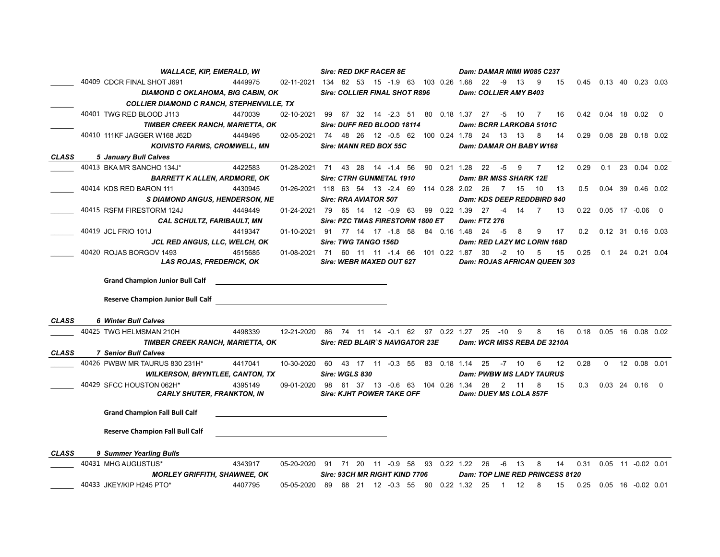|              | <b>WALLACE, KIP, EMERALD, WI</b>                                                                                                                                  | Sire: RED DKF RACER 8E                  |                                                        | Dam: DAMAR MIMI W085 C237                                       |                            |  |                        |  |  |  |  |  |  |
|--------------|-------------------------------------------------------------------------------------------------------------------------------------------------------------------|-----------------------------------------|--------------------------------------------------------|-----------------------------------------------------------------|----------------------------|--|------------------------|--|--|--|--|--|--|
|              | 40409 CDCR FINAL SHOT J691<br>4449975                                                                                                                             |                                         | 02-11-2021 134 82 53 15 -1.9 63 103 0.26 1.68 22 -9 13 | - 9<br>15                                                       | 0.45  0.13  40  0.23  0.03 |  |                        |  |  |  |  |  |  |
|              | DIAMOND C OKLAHOMA, BIG CABIN, OK                                                                                                                                 | <b>Sire: COLLIER FINAL SHOT R896</b>    |                                                        | Dam: COLLIER AMY B403                                           |                            |  |                        |  |  |  |  |  |  |
|              | <b>COLLIER DIAMOND C RANCH, STEPHENVILLE, TX</b>                                                                                                                  |                                         |                                                        |                                                                 |                            |  |                        |  |  |  |  |  |  |
|              | 40401 TWG RED BLOOD J113<br>02-10-2021<br>4470039                                                                                                                 | 99                                      |                                                        | 67 32 14 -2.3 51 80 0.18 1.37 27 -5 10 7<br>16                  | $0.42$ 0.04 18 0.02 0      |  |                        |  |  |  |  |  |  |
|              | TIMBER CREEK RANCH, MARIETTA, OK                                                                                                                                  | Sire: DUFF RED BLOOD 18114              |                                                        | Dam: BCRR LARKOBA 5101C                                         |                            |  |                        |  |  |  |  |  |  |
|              | 40410 111KF JAGGER W168 J62D<br>4448495                                                                                                                           |                                         | 02-05-2021 74 48 26 12 -0.5 62 100 0.24 1.78 24 13 13  | - 8<br>- 14                                                     | 0.29                       |  | 0.08 28 0.18 0.02      |  |  |  |  |  |  |
|              | <b>KOIVISTO FARMS, CROMWELL, MN</b>                                                                                                                               | Sire: MANN RED BOX 55C                  |                                                        | Dam: DAMAR OH BABY W168                                         |                            |  |                        |  |  |  |  |  |  |
| <b>CLASS</b> | 5 January Bull Calves                                                                                                                                             |                                         |                                                        |                                                                 |                            |  |                        |  |  |  |  |  |  |
|              | 40413 BKA MR SANCHO 134J*<br>4422583                                                                                                                              |                                         | 01-28-2021 71 43 28 14 -1.4 56 90 0.21 1.28 22 -5      | - 9<br>$\overline{7}$<br>12                                     | 0.29<br>0.1                |  | 23 0.04 0.02           |  |  |  |  |  |  |
|              | <b>BARRETT K ALLEN, ARDMORE, OK</b>                                                                                                                               | <b>Sire: CTRH GUNMETAL 1910</b>         |                                                        | <b>Dam: BR MISS SHARK 12E</b>                                   |                            |  |                        |  |  |  |  |  |  |
|              | 4430945<br>40414 KDS RED BARON 111                                                                                                                                |                                         | 01-26-2021 118 63 54 13 -2.4 69 114 0.28 2.02 26       | 7 15<br>10<br>13                                                | 0.5                        |  | 0.04 39 0.46 0.02      |  |  |  |  |  |  |
|              | <b>S DIAMOND ANGUS, HENDERSON, NE</b>                                                                                                                             | Sire: RRA AVIATOR 507                   |                                                        | <b>Dam: KDS DEEP REDDBIRD 940</b>                               |                            |  |                        |  |  |  |  |  |  |
|              | 40415 RSFM FIRESTORM 124J<br>4449449<br>01-24-2021 79                                                                                                             | 65 14 12 -0.9 63                        | 99  0.22  1.39                                         | 27<br>$\overline{7}$<br>$-4$<br>14<br>13                        | $0.22$ 0.05 17 -0.06 0     |  |                        |  |  |  |  |  |  |
|              | <b>CAL SCHULTZ, FARIBAULT, MN</b>                                                                                                                                 | <b>Sire: PZC TMAS FIRESTORM 1800 ET</b> |                                                        | <b>Dam: FTZ 276</b>                                             |                            |  |                        |  |  |  |  |  |  |
|              | 40419 JCL FRIO 101J<br>4419347                                                                                                                                    | 01-10-2021 91 77 14 17 -1.8 58          | 84  0.16  1.48                                         | 9<br>24<br>-5<br>-8<br>17                                       | 0.2                        |  | 0.12 31 0.16 0.03      |  |  |  |  |  |  |
|              | <b>JCL RED ANGUS, LLC, WELCH, OK</b>                                                                                                                              | Sire: TWG TANGO 156D                    |                                                        | Dam: RED LAZY MC LORIN 168D                                     |                            |  |                        |  |  |  |  |  |  |
|              | 40420 ROJAS BORGOV 1493<br>4515685                                                                                                                                |                                         | 01-08-2021 71 60 11 11 -1.4 66 101 0.22 1.87 30        | $-2$ 10<br>5<br>15                                              | 0.25                       |  | 0.1 24 0.21 0.04       |  |  |  |  |  |  |
|              | LAS ROJAS, FREDERICK, OK                                                                                                                                          | Sire: WEBR MAXED OUT 627                |                                                        | Dam: ROJAS AFRICAN QUEEN 303                                    |                            |  |                        |  |  |  |  |  |  |
|              |                                                                                                                                                                   |                                         |                                                        |                                                                 |                            |  |                        |  |  |  |  |  |  |
|              | <b>Grand Champion Junior Bull Calf</b><br><u> 1989 - Johann Stein, mars an deus Amerikaansk kommunister (</u>                                                     |                                         |                                                        |                                                                 |                            |  |                        |  |  |  |  |  |  |
|              | <b>Reserve Champion Junior Bull Calf</b><br><u> 1989 - Johann Harry Harry Harry Harry Harry Harry Harry Harry Harry Harry Harry Harry Harry Harry Harry Harry</u> |                                         |                                                        |                                                                 |                            |  |                        |  |  |  |  |  |  |
|              |                                                                                                                                                                   |                                         |                                                        |                                                                 |                            |  |                        |  |  |  |  |  |  |
| <b>CLASS</b> | 6 Winter Bull Calves                                                                                                                                              |                                         |                                                        |                                                                 |                            |  |                        |  |  |  |  |  |  |
|              | 40425 TWG HELMSMAN 210H<br>4498339                                                                                                                                |                                         |                                                        | 12-21-2020 86 74 11 14 -0.1 62 97 0.22 1.27 25 -10 9<br>8<br>16 | 0.18                       |  | 0.05 16 0.08 0.02      |  |  |  |  |  |  |
|              | TIMBER CREEK RANCH, MARIETTA, OK                                                                                                                                  | Sire: RED BLAIR`S NAVIGATOR 23E         |                                                        | Dam: WCR MISS REBA DE 3210A                                     |                            |  |                        |  |  |  |  |  |  |
| <b>CLASS</b> | <b>7 Senior Bull Calves</b>                                                                                                                                       |                                         |                                                        |                                                                 |                            |  |                        |  |  |  |  |  |  |
|              | 40426 PWBW MR TAURUS 830 231H*<br>4417041<br>10-30-2020                                                                                                           | 60 43 17 11 -0.3 55                     | 83 0.18 1.14                                           | 25<br>-7 10<br>6<br>12                                          | 0.28<br>$\Omega$           |  | 12  0.08  0.01         |  |  |  |  |  |  |
|              | <b>WILKERSON, BRYNTLEE, CANTON, TX</b>                                                                                                                            | Sire: WGLS 830                          |                                                        | <b>Dam: PWBW MS LADY TAURUS</b>                                 |                            |  |                        |  |  |  |  |  |  |
|              | 40429 SFCC HOUSTON 062H*<br>4395149<br>09-01-2020 98                                                                                                              |                                         | 61 37 13 -0.6 63 104 0.26 1.34                         | 28<br>2 11<br>8<br>15                                           | 0.3                        |  | $0.03$ 24 $0.16$ 0     |  |  |  |  |  |  |
|              | <b>CARLY SHUTER, FRANKTON, IN</b>                                                                                                                                 | <b>Sire: KJHT POWER TAKE OFF</b>        |                                                        | Dam: DUEY MS LOLA 857F                                          |                            |  |                        |  |  |  |  |  |  |
|              |                                                                                                                                                                   |                                         |                                                        |                                                                 |                            |  |                        |  |  |  |  |  |  |
|              | <b>Grand Champion Fall Bull Calf</b>                                                                                                                              |                                         |                                                        |                                                                 |                            |  |                        |  |  |  |  |  |  |
|              |                                                                                                                                                                   |                                         |                                                        |                                                                 |                            |  |                        |  |  |  |  |  |  |
|              | <b>Reserve Champion Fall Bull Calf</b>                                                                                                                            |                                         |                                                        |                                                                 |                            |  |                        |  |  |  |  |  |  |
| <b>CLASS</b> | 9 Summer Yearling Bulls                                                                                                                                           |                                         |                                                        |                                                                 |                            |  |                        |  |  |  |  |  |  |
|              | 40431 MHG AUGUSTUS*<br>4343917                                                                                                                                    | 05-20-2020 91 71 20 11 -0.9 58          | 93  0.22  1.22                                         | 26<br>-6 13<br>8<br>14                                          | 0.31                       |  | $0.05$ 11 $-0.02$ 0.01 |  |  |  |  |  |  |
|              | <b>MORLEY GRIFFITH, SHAWNEE, OK</b>                                                                                                                               | Sire: 93CH MR RIGHT KIND 7706           |                                                        | Dam: TOP LINE RED PRINCESS 8120                                 |                            |  |                        |  |  |  |  |  |  |
|              | 40433 JKEY/KIP H245 PTO*<br>4407795<br>05-05-2020                                                                                                                 | 68 21 12 -0.3 55<br>89                  | 90  0.22  1.32                                         | 25<br>12<br>8<br>$\overline{1}$<br>15                           | 0.25                       |  | $0.05$ 16 $-0.02$ 0.01 |  |  |  |  |  |  |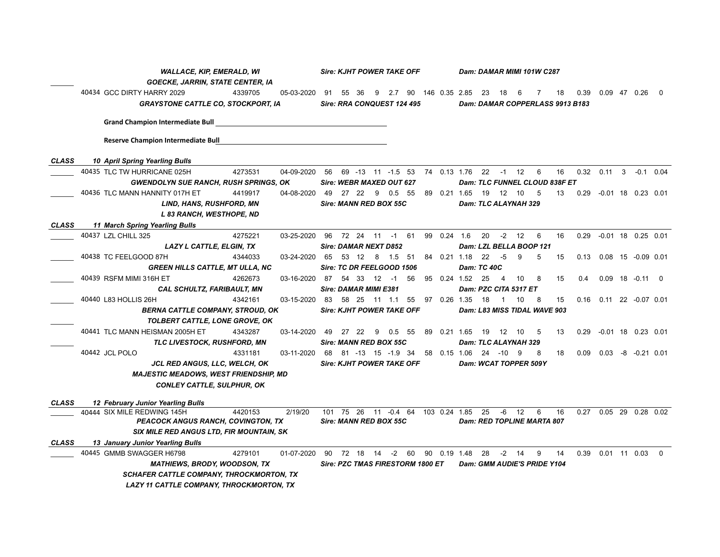|              | <b>WALLACE, KIP, EMERALD, WI</b> |                                                 |         |                               |                                  | <b>Sire: KJHT POWER TAKE OFF</b>           |  |          |    |  |             |                                | Dam: DAMAR MIMI 101W C287 |                |                              |                                 |    |               |                                   |  |                     |          |  |  |  |
|--------------|----------------------------------|-------------------------------------------------|---------|-------------------------------|----------------------------------|--------------------------------------------|--|----------|----|--|-------------|--------------------------------|---------------------------|----------------|------------------------------|---------------------------------|----|---------------|-----------------------------------|--|---------------------|----------|--|--|--|
|              |                                  | GOECKE, JARRIN, STATE CENTER, IA                |         |                               |                                  |                                            |  |          |    |  |             |                                |                           |                |                              |                                 |    |               |                                   |  |                     |          |  |  |  |
|              |                                  | 40434 GCC DIRTY HARRY 2029                      | 4339705 | 05-03-2020 91                 |                                  | 55 36                                      |  |          |    |  |             | 9 2.7 90 146 0.35 2.85 23 18 6 |                           |                |                              | 7                               | 18 | 0.39          |                                   |  | $0.09$ 47 0.26 0    |          |  |  |  |
|              |                                  | <b>GRAYSTONE CATTLE CO, STOCKPORT, IA</b>       |         |                               |                                  | Sire: RRA CONQUEST 124 495                 |  |          |    |  |             |                                |                           |                |                              | Dam: DAMAR COPPERLASS 9913 B183 |    |               |                                   |  |                     |          |  |  |  |
|              |                                  | <b>Grand Champion Intermediate Bull</b>         |         |                               |                                  |                                            |  |          |    |  |             |                                |                           |                |                              |                                 |    |               |                                   |  |                     |          |  |  |  |
|              |                                  | <b>Reserve Champion Intermediate Bull</b>       |         |                               |                                  |                                            |  |          |    |  |             |                                |                           |                |                              |                                 |    |               |                                   |  |                     |          |  |  |  |
| <b>CLASS</b> |                                  | <b>10 April Spring Yearling Bulls</b>           |         |                               |                                  |                                            |  |          |    |  |             |                                |                           |                |                              |                                 |    |               |                                   |  |                     |          |  |  |  |
|              |                                  | 40435 TLC TW HURRICANE 025H                     | 4273531 | 04-09-2020                    |                                  | 56 69 -13 11 -1.5 53 74 0.13 1.76 22 -1 12 |  |          |    |  |             |                                |                           |                |                              | $6\overline{6}$                 | 16 |               | 0.32  0.11  3  -0.1  0.04         |  |                     |          |  |  |  |
|              |                                  | <b>GWENDOLYN SUE RANCH, RUSH SPRINGS, OK</b>    |         |                               |                                  | Sire: WEBR MAXED OUT 627                   |  |          |    |  |             |                                |                           |                |                              | Dam: TLC FUNNEL CLOUD 838F ET   |    |               |                                   |  |                     |          |  |  |  |
|              |                                  | 40436 TLC MANN HANNITY 017H ET                  | 4419917 | 04-08-2020                    | 49                               | 27 22 9                                    |  | $0.5$ 55 |    |  |             | 89  0.21  1.65  19  12  10     |                           |                |                              | $-5$                            | 13 |               | 0.29 -0.01 18 0.23 0.01           |  |                     |          |  |  |  |
|              |                                  | <b>LIND, HANS, RUSHFORD, MN</b>                 |         |                               |                                  | Sire: MANN RED BOX 55C                     |  |          |    |  |             |                                | Dam: TLC ALAYNAH 329      |                |                              |                                 |    |               |                                   |  |                     |          |  |  |  |
|              |                                  | L 83 RANCH, WESTHOPE, ND                        |         |                               |                                  |                                            |  |          |    |  |             |                                |                           |                |                              |                                 |    |               |                                   |  |                     |          |  |  |  |
| <b>CLASS</b> |                                  | 11 March Spring Yearling Bulls                  |         |                               |                                  |                                            |  |          |    |  |             |                                |                           |                |                              |                                 |    |               |                                   |  |                     |          |  |  |  |
|              |                                  | 40437 LZL CHILL 325                             | 4275221 | 03-25-2020                    |                                  | 96 72 24 11 -1 61                          |  |          |    |  | 99 0.24 1.6 |                                | 20                        |                | $-2$ 12                      | 6                               | 16 | 0.29          | $-0.01$ 18 0.25 0.01              |  |                     |          |  |  |  |
|              |                                  | LAZY L CATTLE, ELGIN, TX                        |         |                               |                                  | <b>Sire: DAMAR NEXT D852</b>               |  |          |    |  |             |                                |                           |                |                              | Dam: LZL BELLA BOOP 121         |    |               |                                   |  |                     |          |  |  |  |
|              |                                  | 40438 TC FEELGOOD 87H                           | 4344033 | 03-24-2020 65 53 12 8 1.5 51  |                                  |                                            |  |          |    |  |             | 84  0.21  1.18  22  -5         |                           |                | 9                            | 5                               | 15 |               | $0.13$ $0.08$ 15 $-0.09$ 0.01     |  |                     |          |  |  |  |
|              |                                  | <b>GREEN HILLS CATTLE, MT ULLA, NC</b>          |         |                               |                                  | Sire: TC DR FEELGOOD 1506                  |  |          |    |  |             |                                | <b>Dam: TC 40C</b>        |                |                              |                                 |    |               |                                   |  |                     |          |  |  |  |
|              |                                  | 40439  RSFM MIMI 316H ET                        | 4262673 | 03-16-2020                    | - 87                             |                                            |  |          | 56 |  |             | 95  0.24  1.52  25             |                           | $\overline{4}$ | 10                           | 8                               | 15 | $0.4^{\circ}$ |                                   |  | $0.09$ 18 $-0.11$ 0 |          |  |  |  |
|              |                                  | <b>CAL SCHULTZ, FARIBAULT, MN</b>               |         |                               |                                  | <b>Sire: DAMAR MIMI E381</b>               |  |          |    |  |             |                                | Dam: PZC CITA 5317 ET     |                |                              |                                 |    |               |                                   |  |                     |          |  |  |  |
|              |                                  | 40440 L83 HOLLIS 26H                            | 4342161 | 03-15-2020 83 58 25 11 1.1 55 |                                  |                                            |  |          |    |  |             | 97  0.26  1.35  18             |                           | 1 10           |                              | - 8                             | 15 |               | $0.16$ $0.11$ 22 $-0.07$ 0.01     |  |                     |          |  |  |  |
|              |                                  | <b>BERNA CATTLE COMPANY, STROUD, OK</b>         |         |                               | <b>Sire: KJHT POWER TAKE OFF</b> |                                            |  |          |    |  |             |                                |                           |                | Dam: L83 MISS TIDAL WAVE 903 |                                 |    |               |                                   |  |                     |          |  |  |  |
|              |                                  | TOLBERT CATTLE, LONE GROVE, OK                  |         |                               |                                  |                                            |  |          |    |  |             |                                |                           |                |                              |                                 |    |               |                                   |  |                     |          |  |  |  |
|              |                                  | 40441 TLC MANN HEISMAN 2005H ET                 | 4343287 | 03-14-2020                    |                                  | 49 27 22 9                                 |  | $0.5$ 55 |    |  |             | 89  0.21  1.65  19  12  10     |                           |                |                              | $-5$                            | 13 |               | 0.29 -0.01 18 0.23 0.01           |  |                     |          |  |  |  |
|              |                                  | TLC LIVESTOCK, RUSHFORD, MN                     |         |                               |                                  | Sire: MANN RED BOX 55C                     |  |          |    |  |             |                                | Dam: TLC ALAYNAH 329      |                |                              |                                 |    |               |                                   |  |                     |          |  |  |  |
|              |                                  | 40442 JCL POLO                                  | 4331181 | 03-11-2020                    |                                  | 68 81 -13 15 -1.9 34                       |  |          |    |  |             | 58  0.15  1.06  24  -10  9     |                           |                |                              | 8                               | 18 |               | $0.09$ $0.03$ $-8$ $-0.21$ $0.01$ |  |                     |          |  |  |  |
|              |                                  | <b>JCL RED ANGUS, LLC, WELCH, OK</b>            |         |                               |                                  | <b>Sire: KJHT POWER TAKE OFF</b>           |  |          |    |  |             |                                | Dam: WCAT TOPPER 509Y     |                |                              |                                 |    |               |                                   |  |                     |          |  |  |  |
|              |                                  | <b>MAJESTIC MEADOWS, WEST FRIENDSHIP, MD</b>    |         |                               |                                  |                                            |  |          |    |  |             |                                |                           |                |                              |                                 |    |               |                                   |  |                     |          |  |  |  |
|              |                                  | <b>CONLEY CATTLE, SULPHUR, OK</b>               |         |                               |                                  |                                            |  |          |    |  |             |                                |                           |                |                              |                                 |    |               |                                   |  |                     |          |  |  |  |
| <b>CLASS</b> |                                  | 12 February Junior Yearling Bulls               |         |                               |                                  |                                            |  |          |    |  |             |                                |                           |                |                              |                                 |    |               |                                   |  |                     |          |  |  |  |
|              |                                  | 40444 SIX MILE REDWING 145H                     | 4420153 | 2/19/20                       |                                  | 101 75 26 11 -0.4 64 103 0.24 1.85         |  |          |    |  |             |                                | 25                        |                | -6 12                        | 6                               | 16 |               | 0.27 0.05 29 0.28 0.02            |  |                     |          |  |  |  |
|              |                                  | <b>PEACOCK ANGUS RANCH, COVINGTON, TX</b>       |         |                               |                                  | Sire: MANN RED BOX 55C                     |  |          |    |  |             |                                |                           |                |                              | Dam: RED TOPLINE MARTA 807      |    |               |                                   |  |                     |          |  |  |  |
|              |                                  | <b>SIX MILE RED ANGUS LTD, FIR MOUNTAIN, SK</b> |         |                               |                                  |                                            |  |          |    |  |             |                                |                           |                |                              |                                 |    |               |                                   |  |                     |          |  |  |  |
| <b>CLASS</b> |                                  | 13 January Junior Yearling Bulls                |         |                               |                                  |                                            |  |          |    |  |             |                                |                           |                |                              |                                 |    |               |                                   |  |                     |          |  |  |  |
|              |                                  | 40445 GMMB SWAGGER H6798                        | 4279101 | 01-07-2020                    | 90                               | 72 18 14 -2 60                             |  |          |    |  |             | 90 0.19 1.48                   | 28                        |                | $-2$ 14                      | 9                               | 14 | 0.39          | 0.01 11 0.03                      |  |                     | $\Omega$ |  |  |  |
|              |                                  | <b>MATHIEWS, BRODY, WOODSON, TX</b>             |         |                               |                                  | Sire: PZC TMAS FIRESTORM 1800 ET           |  |          |    |  |             |                                |                           |                |                              | Dam: GMM AUDIE'S PRIDE Y104     |    |               |                                   |  |                     |          |  |  |  |
|              |                                  | <b>SCHAFER CATTLE COMPANY, THROCKMORTON, TX</b> |         |                               |                                  |                                            |  |          |    |  |             |                                |                           |                |                              |                                 |    |               |                                   |  |                     |          |  |  |  |
|              |                                  | LAZY 11 CATTLE COMPANY, THROCKMORTON, TX        |         |                               |                                  |                                            |  |          |    |  |             |                                |                           |                |                              |                                 |    |               |                                   |  |                     |          |  |  |  |